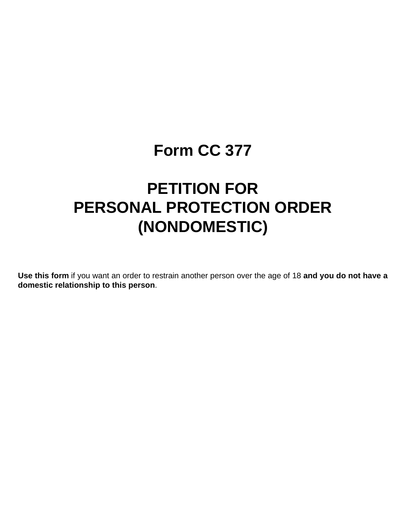# **Form CC 377**

# **PETITION FOR PERSONAL PROTECTION ORDER (NONDOMESTIC)**

**Use this form** if you want an order to restrain another person over the age of 18 **and you do not have a domestic relationship to this person**.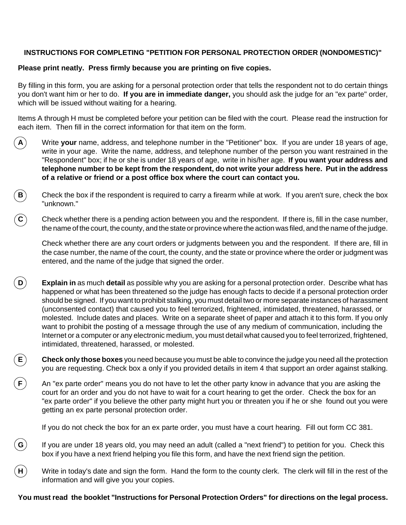# **INSTRUCTIONS FOR COMPLETING "PETITION FOR PERSONAL PROTECTION ORDER (NONDOMESTIC)"**

## **Please print neatly. Press firmly because you are printing on five copies.**

By filling in this form, you are asking for a personal protection order that tells the respondent not to do certain things you don't want him or her to do. **If you are in immediate danger,** you should ask the judge for an "ex parte" order, which will be issued without waiting for a hearing.

Items A through H must be completed before your petition can be filed with the court. Please read the instruction for each item. Then fill in the correct information for that item on the form.

- **A** Write **your** name, address, and telephone number in the "Petitioner" box. If you are under 18 years of age, write in your age. Write the name, address, and telephone number of the person you want restrained in the "Respondent" box; if he or she is under 18 years of age, write in his/her age. **If you want your address and telephone number to be kept from the respondent, do not write your address here. Put in the address of a relative or friend or a post office box where the court can contact you.**
- **B** Check the box if the respondent is required to carry a firearm while at work. If you aren't sure, check the box "unknown."
- **C** Check whether there is a pending action between you and the respondent. If there is, fill in the case number, the name of the court, the county, and the state or province where the action was filed, and the name of the judge.

Check whether there are any court orders or judgments between you and the respondent. If there are, fill in the case number, the name of the court, the county, and the state or province where the order or judgment was entered, and the name of the judge that signed the order.

- **D** Explain in as much detail as possible why you are asking for a personal protection order. Describe what has happened or what has been threatened so the judge has enough facts to decide if a personal protection order should be signed. If you want to prohibit stalking, you must detail two or more separate instances of harassment (unconsented contact) that caused you to feel terrorized, frightened, intimidated, threatened, harassed, or molested. Include dates and places. Write on a separate sheet of paper and attach it to this form. If you only want to prohibit the posting of a message through the use of any medium of communication, including the Internet or a computer or any electronic medium, you must detail what caused you to feel terrorized, frightened, intimidated, threatened, harassed, or molested.
	- **E Check only those boxes** you need because you must be able to convince the judge you need all the protection you are requesting. Check box a only if you provided details in item 4 that support an order against stalking.
- **F** An "ex parte order" means you do not have to let the other party know in advance that you are asking the court for an order and you do not have to wait for a court hearing to get the order. Check the box for an "ex parte order" if you believe the other party might hurt you or threaten you if he or she found out you were getting an ex parte personal protection order.

If you do not check the box for an ex parte order, you must have a court hearing. Fill out form CC 381.

- **G**) If you are under 18 years old, you may need an adult (called a "next friend") to petition for you. Check this box if you have a next friend helping you file this form, and have the next friend sign the petition.
- **H** Write in today's date and sign the form. Hand the form to the county clerk. The clerk will fill in the rest of the information and will give you your copies.

**You must read the booklet "Instructions for Personal Protection Orders" for directions on the legal process.**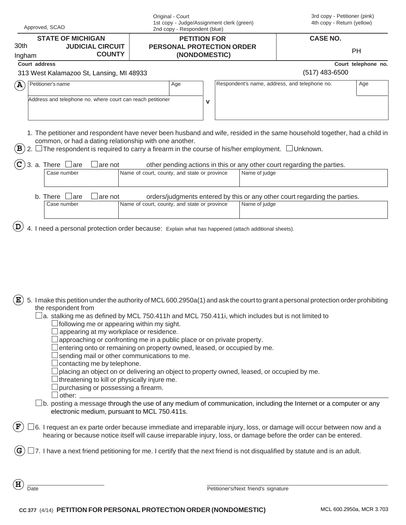| Approved, SCAO                                                                         |                                          |        | 1st copy - Judge/Assignment clerk (green)<br>2nd copy - Respondent (blue) |                                                                                                                                                              |     | 4th copy - Return (yellow) |                                      |                                                                                                                                                                                                                                        |                          |
|----------------------------------------------------------------------------------------|------------------------------------------|--------|---------------------------------------------------------------------------|--------------------------------------------------------------------------------------------------------------------------------------------------------------|-----|----------------------------|--------------------------------------|----------------------------------------------------------------------------------------------------------------------------------------------------------------------------------------------------------------------------------------|--------------------------|
| <b>STATE OF MICHIGAN</b><br>30th<br><b>JUDICIAL CIRCUIT</b><br><b>COUNTY</b><br>Ingham |                                          |        |                                                                           | <b>PETITION FOR</b><br>PERSONAL PROTECTION ORDER<br>(NONDOMESTIC)                                                                                            |     |                            | <b>CASE NO.</b>                      |                                                                                                                                                                                                                                        |                          |
|                                                                                        |                                          |        |                                                                           |                                                                                                                                                              |     |                            |                                      | PH                                                                                                                                                                                                                                     |                          |
|                                                                                        | Court address                            |        |                                                                           |                                                                                                                                                              |     |                            |                                      |                                                                                                                                                                                                                                        | Court telephone no.      |
|                                                                                        | 313 West Kalamazoo St, Lansing, MI 48933 |        |                                                                           |                                                                                                                                                              |     |                            |                                      | $(517)$ 483-6500                                                                                                                                                                                                                       |                          |
| $(\mathbf{A})$                                                                         | Petitioner's name                        |        |                                                                           |                                                                                                                                                              | Age |                            |                                      | Respondent's name, address, and telephone no.<br>Age                                                                                                                                                                                   |                          |
|                                                                                        |                                          |        |                                                                           | Address and telephone no. where court can reach petitioner                                                                                                   |     | $\mathbf v$                |                                      |                                                                                                                                                                                                                                        |                          |
|                                                                                        |                                          |        |                                                                           |                                                                                                                                                              |     |                            |                                      |                                                                                                                                                                                                                                        |                          |
|                                                                                        |                                          |        |                                                                           |                                                                                                                                                              |     |                            |                                      |                                                                                                                                                                                                                                        |                          |
|                                                                                        |                                          |        |                                                                           |                                                                                                                                                              |     |                            |                                      | 1. The petitioner and respondent have never been husband and wife, resided in the same household together, had a child in                                                                                                              |                          |
| $\mathbf B$                                                                            |                                          |        |                                                                           | common, or had a dating relationship with one another.<br>The respondent is required to carry a firearm in the course of his/her employment. $\Box$ Unknown. |     |                            |                                      |                                                                                                                                                                                                                                        |                          |
|                                                                                        |                                          |        |                                                                           |                                                                                                                                                              |     |                            |                                      |                                                                                                                                                                                                                                        |                          |
|                                                                                        | 3. a. There<br>Case number               | ⊥are   | are not                                                                   | Name of court, county, and state or province                                                                                                                 |     |                            | Name of judge                        | other pending actions in this or any other court regarding the parties.                                                                                                                                                                |                          |
|                                                                                        |                                          |        |                                                                           |                                                                                                                                                              |     |                            |                                      |                                                                                                                                                                                                                                        |                          |
|                                                                                        | b. There                                 | ⊥are   | are not                                                                   |                                                                                                                                                              |     |                            |                                      | orders/judgments entered by this or any other court regarding the parties.                                                                                                                                                             |                          |
|                                                                                        | Case number                              |        |                                                                           | Name of court, county, and state or province                                                                                                                 |     |                            | Name of judge                        |                                                                                                                                                                                                                                        |                          |
|                                                                                        |                                          |        |                                                                           |                                                                                                                                                              |     |                            |                                      |                                                                                                                                                                                                                                        |                          |
| Έ                                                                                      | the respondent from                      |        |                                                                           |                                                                                                                                                              |     |                            |                                      | 5. I make this petition under the authority of MCL 600.2950a(1) and ask the court to grant a personal protection order prohibiting<br>a. stalking me as defined by MCL 750.411h and MCL 750.411i, which includes but is not limited to |                          |
|                                                                                        |                                          |        |                                                                           | following me or appearing within my sight.<br>appearing at my workplace or residence.                                                                        |     |                            |                                      |                                                                                                                                                                                                                                        |                          |
|                                                                                        |                                          |        |                                                                           | approaching or confronting me in a public place or on private property.                                                                                      |     |                            |                                      |                                                                                                                                                                                                                                        |                          |
|                                                                                        |                                          |        |                                                                           | entering onto or remaining on property owned, leased, or occupied by me.<br>sending mail or other communications to me.                                      |     |                            |                                      |                                                                                                                                                                                                                                        |                          |
|                                                                                        |                                          |        | contacting me by telephone.                                               |                                                                                                                                                              |     |                            |                                      |                                                                                                                                                                                                                                        |                          |
|                                                                                        |                                          |        |                                                                           | placing an object on or delivering an object to property owned, leased, or occupied by me.<br>threatening to kill or physically injure me.                   |     |                            |                                      |                                                                                                                                                                                                                                        |                          |
|                                                                                        |                                          |        |                                                                           | purchasing or possessing a firearm.                                                                                                                          |     |                            |                                      |                                                                                                                                                                                                                                        |                          |
|                                                                                        |                                          | other: |                                                                           |                                                                                                                                                              |     |                            |                                      | $\exists$ b. posting a message through the use of any medium of communication, including the Internet or a computer or any                                                                                                             |                          |
|                                                                                        |                                          |        |                                                                           | electronic medium, pursuant to MCL 750.411s.                                                                                                                 |     |                            |                                      |                                                                                                                                                                                                                                        |                          |
| F                                                                                      |                                          |        |                                                                           |                                                                                                                                                              |     |                            |                                      | 6. I request an ex parte order because immediate and irreparable injury, loss, or damage will occur between now and a                                                                                                                  |                          |
|                                                                                        |                                          |        |                                                                           |                                                                                                                                                              |     |                            |                                      | hearing or because notice itself will cause irreparable injury, loss, or damage before the order can be entered.                                                                                                                       |                          |
|                                                                                        |                                          |        |                                                                           |                                                                                                                                                              |     |                            |                                      | 7. I have a next friend petitioning for me. I certify that the next friend is not disqualified by statute and is an adult.                                                                                                             |                          |
| Η                                                                                      |                                          |        |                                                                           |                                                                                                                                                              |     |                            |                                      |                                                                                                                                                                                                                                        |                          |
| Date                                                                                   |                                          |        |                                                                           |                                                                                                                                                              |     |                            | Petitioner's/Next friend's signature |                                                                                                                                                                                                                                        |                          |
|                                                                                        |                                          |        |                                                                           | CC 377 (4/14) PETITION FOR PERSONAL PROTECTION ORDER (NONDOMESTIC)                                                                                           |     |                            |                                      |                                                                                                                                                                                                                                        | MCL 600.2950a, MCR 3.703 |

Original - Court

3rd copy - Petitioner (pink)